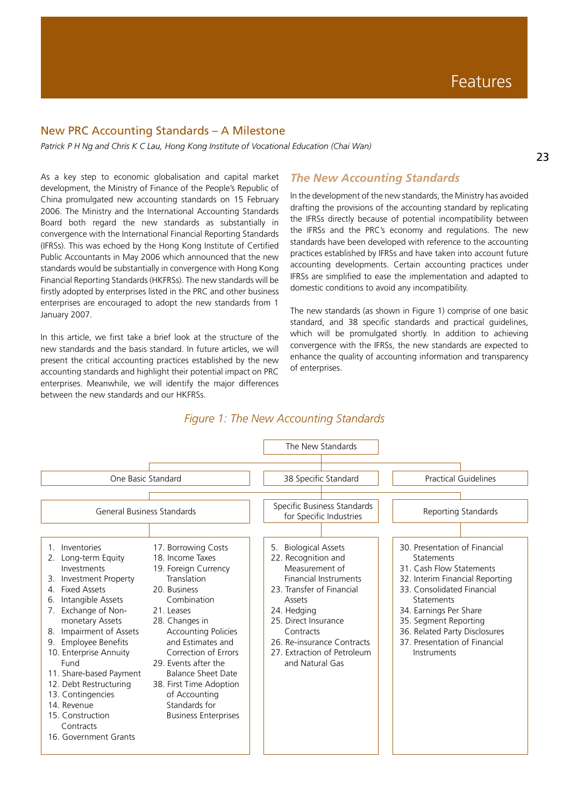### New PRC Accounting Standards – A Milestone

*Patrick P H Ng and Chris K C Lau, Hong Kong Institute of Vocational Education (Chai Wan)*

As a key step to economic globalisation and capital market development, the Ministry of Finance of the People's Republic of China promulgated new accounting standards on 15 February 2006. The Ministry and the International Accounting Standards Board both regard the new standards as substantially in convergence with the International Financial Reporting Standards (IFRSs). This was echoed by the Hong Kong Institute of Certified Public Accountants in May 2006 which announced that the new standards would be substantially in convergence with Hong Kong Financial Reporting Standards (HKFRSs). The new standards will be firstly adopted by enterprises listed in the PRC and other business enterprises are encouraged to adopt the new standards from 1 January 2007.

In this article, we first take a brief look at the structure of the new standards and the basis standard. In future articles, we will present the critical accounting practices established by the new accounting standards and highlight their potential impact on PRC enterprises. Meanwhile, we will identify the major differences between the new standards and our HKFRSs.

#### *The New Accounting Standards*

In the development of the new standards, the Ministry has avoided drafting the provisions of the accounting standard by replicating the IFRSs directly because of potential incompatibility between the IFRSs and the PRC's economy and regulations. The new standards have been developed with reference to the accounting practices established by IFRSs and have taken into account future accounting developments. Certain accounting practices under IFRSs are simplified to ease the implementation and adapted to domestic conditions to avoid any incompatibility.

The new standards (as shown in Figure 1) comprise of one basic standard, and 38 specific standards and practical guidelines, which will be promulgated shortly. In addition to achieving convergence with the IFRSs, the new standards are expected to enhance the quality of accounting information and transparency of enterprises.



## *Figure 1: The New Accounting Standards*